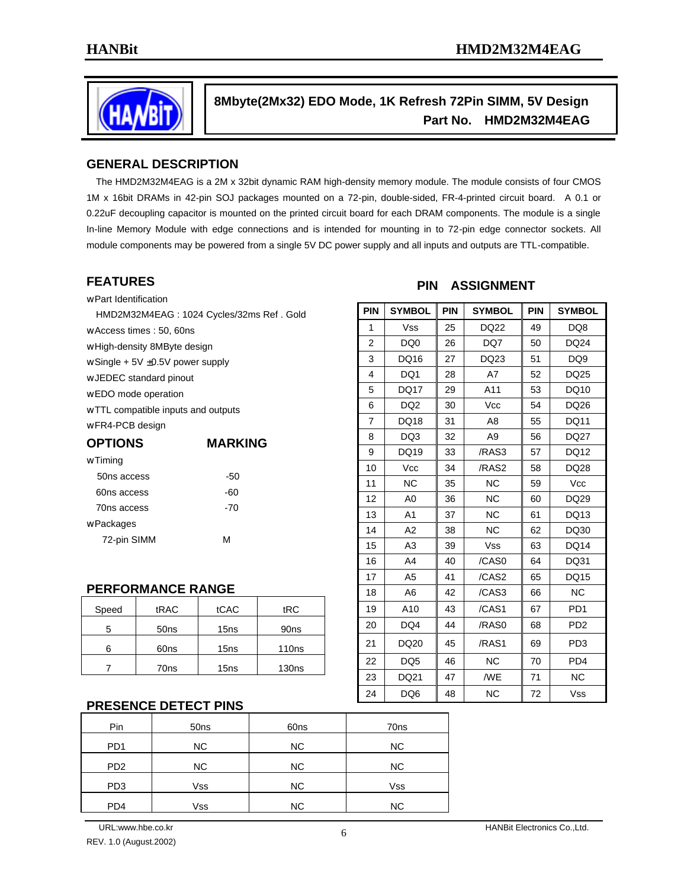

## **8Mbyte(2Mx32) EDO Mode, 1K Refresh 72Pin SIMM, 5V Design Part No. HMD2M32M4EAG**

#### **GENERAL DESCRIPTION**

 The HMD2M32M4EAG is a 2M x 32bit dynamic RAM high-density memory module. The module consists of four CMOS 1M x 16bit DRAMs in 42-pin SOJ packages mounted on a 72-pin, double-sided, FR-4-printed circuit board. A 0.1 or 0.22uF decoupling capacitor is mounted on the printed circuit board for each DRAM components. The module is a single In-line Memory Module with edge connections and is intended for mounting in to 72-pin edge connector sockets. All module components may be powered from a single 5V DC power supply and all inputs and outputs are TTL-compatible.

#### **FEATURES**

- w Part Identification
	- HMD2M32M4EAG : 1024 Cycles/32ms Ref . Gold
- w Access times : 50, 60ns
- w High-density 8MByte design
- w Single + 5V ±0.5V power supply
- w JEDEC standard pinout
- w EDO mode operation
- w TTL compatible inputs and outputs

w FR4-PCB design

| <b>OPTIONS</b> | <b>MARKING</b> |  |  |  |  |
|----------------|----------------|--|--|--|--|
| w Timing       |                |  |  |  |  |
| 50ns access    | -50            |  |  |  |  |
| 60ns access    | -60            |  |  |  |  |
| 70ns access    | -70            |  |  |  |  |
| w Packages     |                |  |  |  |  |
| 72-pin SIMM    | м              |  |  |  |  |

# **PERFORMANCE RANGE**

| Speed | tRAC             | tCAC             | tRC               |
|-------|------------------|------------------|-------------------|
|       | 50 <sub>ns</sub> | 15 <sub>ns</sub> | 90ns              |
|       | 60ns             | 15 <sub>ns</sub> | 110 <sub>ns</sub> |
|       | 70 <sub>ns</sub> | 15 <sub>ns</sub> | 130 <sub>ns</sub> |

#### **PRESENCE DETECT PINS**

| Pin             | 50 <sub>ns</sub> | 60ns      | 70 <sub>ns</sub> |
|-----------------|------------------|-----------|------------------|
| PD <sub>1</sub> | NC.              | <b>NC</b> | NC.              |
| PD <sub>2</sub> | NC.              | <b>NC</b> | NC.              |
| PD <sub>3</sub> | Vss              | <b>NC</b> | Vss              |
| PD <sub>4</sub> | Vss              | <b>NC</b> | <b>NC</b>        |

#### **PIN ASSIGNMENT**

| <b>PIN</b> | <b>SYMBOL</b>   | <b>PIN</b> | <b>SYMBOL</b>  | <b>PIN</b> | <b>SYMBOL</b>   |
|------------|-----------------|------------|----------------|------------|-----------------|
| 1          | <b>Vss</b>      | 25         | DQ22           | 49         | DQ8             |
| 2          | DQ0             | 26         | DQ7            | 50         | DQ24            |
| 3          | DQ16            | 27         | DQ23           | 51         | DQ <sub>9</sub> |
| 4          | DQ1             | 28         | A7             | 52         | DQ25            |
| 5          | DQ17            | 29         | A11            | 53         | DQ10            |
| 6          | DQ <sub>2</sub> | 30         | Vcc            | 54         | DQ26            |
| 7          | <b>DQ18</b>     | 31         | A8             | 55         | <b>DQ11</b>     |
| 8          | DQ3             | 32         | A <sub>9</sub> | 56         | DQ27            |
| 9          | DQ19            | 33         | /RAS3          | 57         | DQ12            |
| 10         | Vcc             | 34         | /RAS2          | 58         | DQ28            |
| 11         | <b>NC</b>       | 35         | <b>NC</b>      | 59         | <b>Vcc</b>      |
| 12         | A <sub>0</sub>  | 36         | <b>NC</b>      | 60         | DQ29            |
| 13         | A <sub>1</sub>  | 37         | <b>NC</b>      | 61         | DQ13            |
| 14         | A <sub>2</sub>  | 38         | <b>NC</b>      | 62         | DQ30            |
| 15         | A3              | 39         | <b>Vss</b>     | 63         | <b>DQ14</b>     |
| 16         | A4              | 40         | /CAS0          | 64         | DQ31            |
| 17         | A <sub>5</sub>  | 41         | /CAS2          | 65         | DQ15            |
| 18         | A6              | 42         | /CAS3          | 66         | <b>NC</b>       |
| 19         | A10             | 43         | /CAS1          | 67         | PD <sub>1</sub> |
| 20         | DQ4             | 44         | /RAS0          | 68         | PD <sub>2</sub> |
| 21         | DQ20            | 45         | /RAS1          | 69         | PD <sub>3</sub> |
| 22         | DQ <sub>5</sub> | 46         | <b>NC</b>      | 70         | PD <sub>4</sub> |
| 23         | DQ21            | 47         | /WE            | 71         | <b>NC</b>       |
| 24         | DQ6             | 48         | <b>NC</b>      | 72         | <b>Vss</b>      |

REV. 1.0 (August.2002)

URL:www.hbe.co.kr **HANBit Electronics Co.,Ltd.**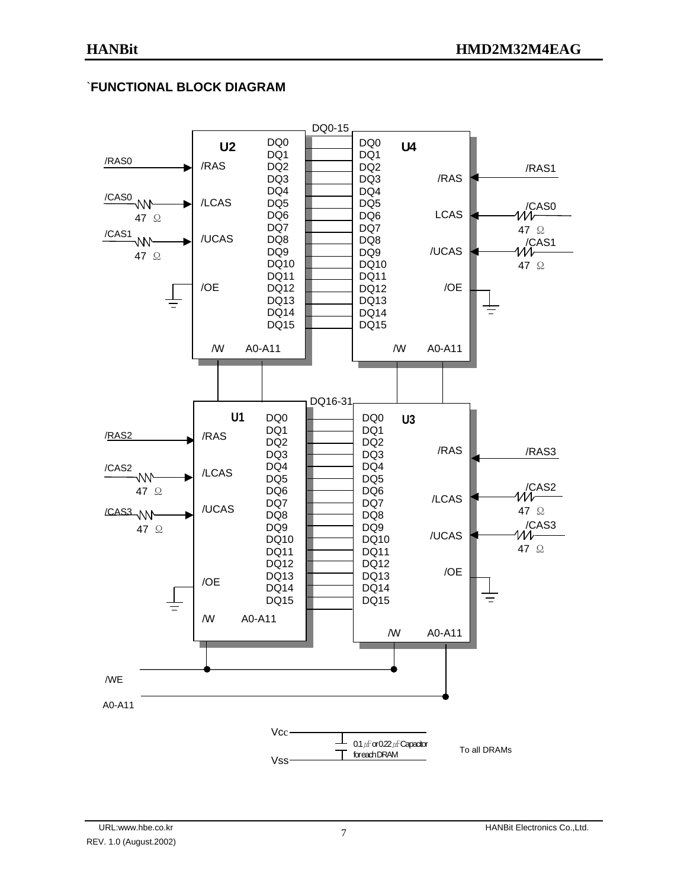## `**FUNCTIONAL BLOCK DIAGRAM**

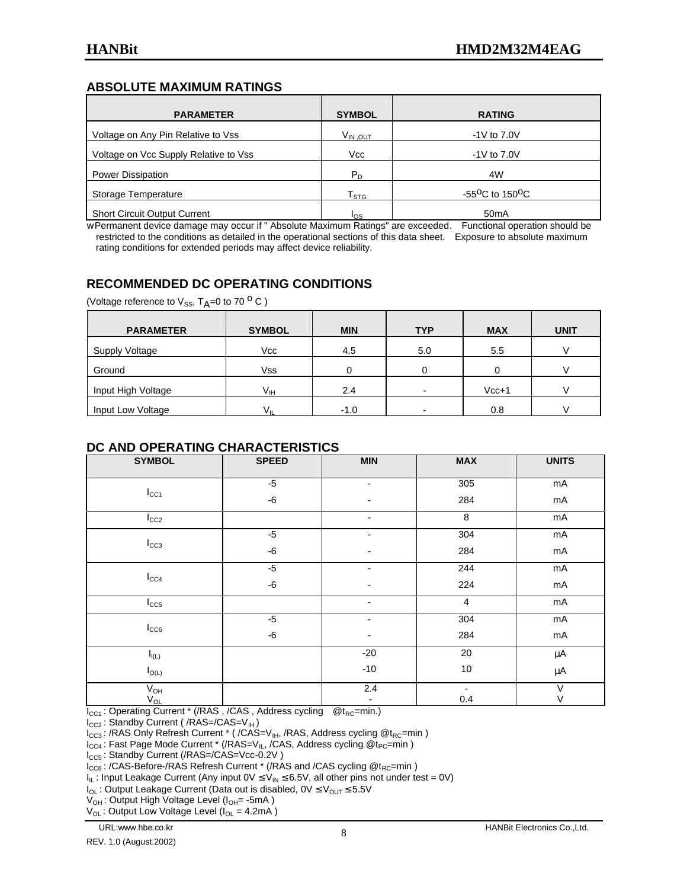### **ABSOLUTE MAXIMUM RATINGS**

| <b>PARAMETER</b>                      | <b>SYMBOL</b>    | <b>RATING</b>                            |
|---------------------------------------|------------------|------------------------------------------|
| Voltage on Any Pin Relative to Vss    | $V_{IN,OUT}$     | $-1V$ to $7.0V$                          |
| Voltage on Vcc Supply Relative to Vss | Vcc              | $-1V$ to $7.0V$                          |
| <b>Power Dissipation</b>              | $P_D$            | 4W                                       |
| Storage Temperature                   | T <sub>STG</sub> | -55 <sup>o</sup> C to 150 <sup>o</sup> C |
| <b>Short Circuit Output Current</b>   | los              | 50 <sub>m</sub> A                        |

w Permanent device damage may occur if " Absolute Maximum Ratings" are exceeded. Functional operation should be restricted to the conditions as detailed in the operational sections of this data sheet. Exposure to absolute maximum rating conditions for extended periods may affect device reliability.

## **RECOMMENDED DC OPERATING CONDITIONS**

(Voltage reference to  $V_{SS}$ ,  $T_A=0$  to 70  $^{\circ}$  C)

| <b>PARAMETER</b>      | <b>SYMBOL</b>   | <b>MIN</b> | <b>TYP</b>               | <b>MAX</b> | <b>UNIT</b> |
|-----------------------|-----------------|------------|--------------------------|------------|-------------|
| <b>Supply Voltage</b> | Vcc             | 4.5        | 5.0                      | 5.5        |             |
| Ground                | <b>Vss</b>      |            |                          |            |             |
| Input High Voltage    | V <sub>IH</sub> | 2.4        | $\overline{\phantom{0}}$ | $Vcc+1$    |             |
| Input Low Voltage     | Vп              | $-1.0$     | $\overline{\phantom{0}}$ | 0.8        |             |

#### **DC AND OPERATING CHARACTERISTICS**

| <b>SYMBOL</b>              | <b>SPEED</b> | <b>MIN</b>               | <b>MAX</b> | <b>UNITS</b> |
|----------------------------|--------------|--------------------------|------------|--------------|
|                            | $-5$         | $\overline{\phantom{a}}$ | 305        | mA           |
| $I_{CC1}$                  | $-6$         |                          | 284        | $mA$         |
| $I_{CC2}$                  |              | $\overline{\phantom{a}}$ | 8          | mA           |
|                            | $-5$         | -                        | 304        | $mA$         |
| $I_{CC3}$                  | $-6$         |                          | 284        | mA           |
|                            | $-5$         | ٠                        | 244        | mA           |
| $I_{CC4}$                  | $-6$         |                          | 224        | $mA$         |
| $I_{CC5}$                  |              | $\blacksquare$           | 4          | mA           |
|                            | $-5$         | $\overline{a}$           | 304        | $mA$         |
| $I_{CC6}$                  | $-6$         | $\overline{\phantom{0}}$ | 284        | mA           |
| $I_{I(L)}$                 |              | $-20$                    | 20         | μA           |
| $I_{O(L)}$                 |              | $-10$                    | $10\,$     | μA           |
| $\mathsf{V}_{\mathsf{OH}}$ |              | $\overline{2.4}$         |            | $\vee$       |
| $V_{OL}$                   |              |                          | 0.4        | $\vee$       |

 $I_{CG}$ : Operating Current \* (/RAS, /CAS, Address cycling  $@t_{RC}$ =min.)

I<sub>CC2</sub>: Standby Current ( /RAS=/CAS=V<sub>IH</sub>)

 $I_{\text{CC3}}$ : /RAS Only Refresh Current \* ( /CAS=V<sub>IH</sub>, /RAS, Address cycling @t<sub>RC</sub>=min )

 $\mathsf{I}_{\text{CC4}}$ : Fast Page Mode Current \* (/RAS=V<sub>IL</sub>, /CAS, Address cycling @t<sub>PC</sub>=min )

I<sub>CC5</sub>: Standby Current (/RAS=/CAS=Vcc-0.2V)

 $I_{CC6}$ : /CAS-Before-/RAS Refresh Current \* (/RAS and /CAS cycling  $@t_{RC}$ =min)

 $I_{IL}$ : Input Leakage Current (Any input  $0V \le V_{IN} \le 6.5V$ , all other pins not under test = 0V)

 $I_{OL}$ : Output Leakage Current (Data out is disabled,  $0V \leq V_{OUT} \leq 5.5V$ 

 $V_{OH}$ : Output High Voltage Level ( $I_{OH}$ = -5mA)

 $V_{\text{OL}}$ : Output Low Voltage Level ( $I_{\text{OL}}$  = 4.2mA)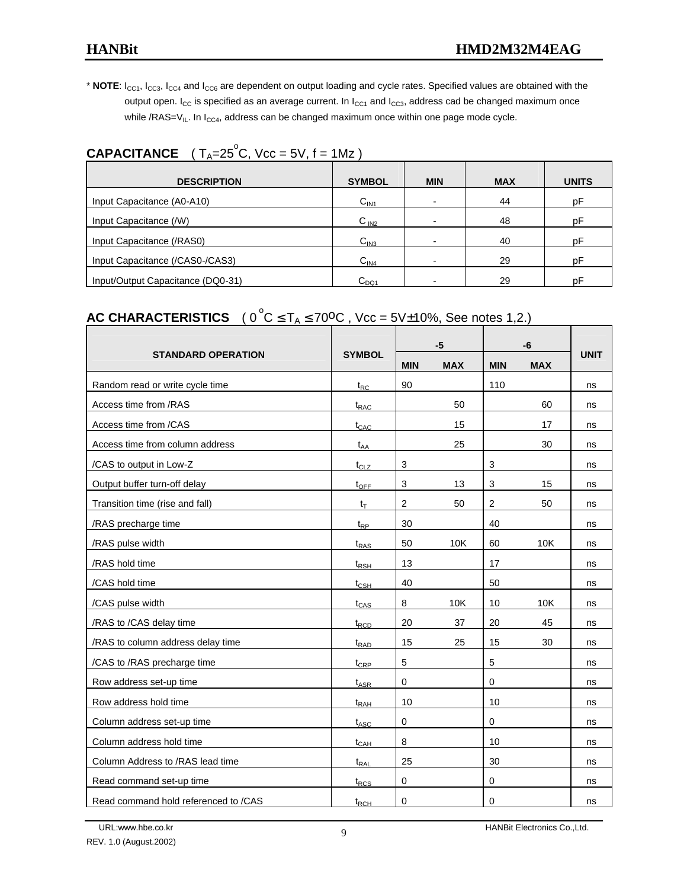\* NOTE: I<sub>CC1</sub>, I<sub>CC3</sub>, I<sub>CC4</sub> and I<sub>CC6</sub> are dependent on output loading and cycle rates. Specified values are obtained with the output open.  $I_{CC}$  is specified as an average current. In  $I_{CC1}$  and  $I_{CC3}$ , address cad be changed maximum once while /RAS= $V_{IL}$ . In  $I_{CCA}$ , address can be changed maximum once within one page mode cycle.

# **CAPACITANCE**  $(T_A=25^\circ C, Vcc = 5V, f = 1Mz)$

| <b>DESCRIPTION</b>                | <b>SYMBOL</b>    | <b>MIN</b>               | <b>MAX</b> | <b>UNITS</b> |
|-----------------------------------|------------------|--------------------------|------------|--------------|
| Input Capacitance (A0-A10)        | C <sub>IN1</sub> | $\overline{\phantom{0}}$ | 44         | рF           |
| Input Capacitance (/W)            | C <sub>IN2</sub> | $\overline{\phantom{0}}$ | 48         | рF           |
| Input Capacitance (/RAS0)         | C <sub>IN3</sub> | $\overline{\phantom{0}}$ | 40         | рF           |
| Input Capacitance (/CAS0-/CAS3)   | C <sub>IN4</sub> |                          | 29         | рF           |
| Input/Output Capacitance (DQ0-31) | $C_{DQ1}$        |                          | 29         | рF           |

# **AC CHARACTERISTICS**  $(0^{\circ}C \leq T_A \leq 70^{\circ}C, \text{ Vcc} = 5\sqrt{10\%}, \text{See notes 1,2.})$

|                                      |                                |                | $-5$       |                | -6         |             |
|--------------------------------------|--------------------------------|----------------|------------|----------------|------------|-------------|
| <b>STANDARD OPERATION</b>            | <b>SYMBOL</b>                  | <b>MIN</b>     | <b>MAX</b> | <b>MIN</b>     | <b>MAX</b> | <b>UNIT</b> |
| Random read or write cycle time      | $t_{RC}$                       | 90             |            | 110            |            | ns          |
| Access time from /RAS                | $t_{RAC}$                      |                | 50         |                | 60         | ns          |
| Access time from /CAS                | $t_{CAC}$                      |                | 15         |                | 17         | ns          |
| Access time from column address      | $t_{AA}$                       |                | 25         |                | 30         | ns          |
| /CAS to output in Low-Z              | $t_{CLZ}$                      | 3              |            | 3              |            | ns          |
| Output buffer turn-off delay         | $t_{\text{OFF}}$               | 3              | 13         | 3              | 15         | ns          |
| Transition time (rise and fall)      | $t_T$                          | $\overline{2}$ | 50         | $\overline{2}$ | 50         | ns          |
| /RAS precharge time                  | $t_{RP}$                       | 30             |            | 40             |            | ns          |
| /RAS pulse width                     | $t_{RAS}$                      | 50             | 10K        | 60             | 10K        | ns          |
| /RAS hold time                       | $t_{RSH}$                      | 13             |            | 17             |            | ns          |
| /CAS hold time                       | $t_{\scriptstyle{\text{CSH}}}$ | 40             |            | 50             |            | ns          |
| /CAS pulse width                     | $t_{CAS}$                      | 8              | 10K        | 10             | 10K        | ns          |
| /RAS to /CAS delay time              | $t_{\text{RCD}}$               | 20             | 37         | 20             | 45         | ns          |
| /RAS to column address delay time    | $t_{\text{RAD}}$               | 15             | 25         | 15             | 30         | ns          |
| /CAS to /RAS precharge time          | $t_{CRP}$                      | 5              |            | 5              |            | ns          |
| Row address set-up time              | $t_{ASR}$                      | 0              |            | 0              |            | ns          |
| Row address hold time                | $t_{\sf RAH}$                  | 10             |            | 10             |            | ns          |
| Column address set-up time           | $t_{\text{ASC}}$               | 0              |            | 0              |            | ns          |
| Column address hold time             | $t_{CAH}$                      | 8              |            | 10             |            | ns          |
| Column Address to /RAS lead time     | $t_{\sf RAL}$                  | 25             |            | 30             |            | ns          |
| Read command set-up time             | $t_{RCS}$                      | $\mathbf 0$    |            | 0              |            | ns          |
| Read command hold referenced to /CAS | $t_{RCH}$                      | 0              |            | 0              |            | ns          |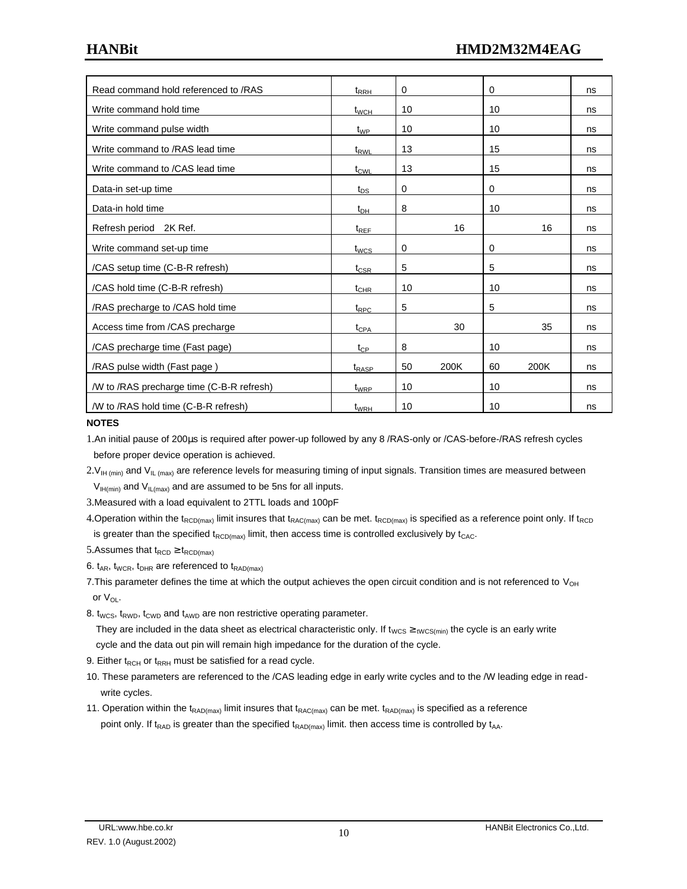| Read command hold referenced to /RAS      | $t_{RRH}$         | 0  |      | 0  |      | ns |
|-------------------------------------------|-------------------|----|------|----|------|----|
| Write command hold time                   | $t_{WCH}$         | 10 |      | 10 |      | ns |
| Write command pulse width                 | $t_{WP}$          | 10 |      | 10 |      | ns |
| Write command to /RAS lead time           | t <sub>RWL</sub>  | 13 |      | 15 |      | ns |
| Write command to /CAS lead time           | $t_{\text{CWL}}$  | 13 |      | 15 |      | ns |
| Data-in set-up time                       | $t_{DS}$          | 0  |      | 0  |      | ns |
| Data-in hold time                         | $t_{DH}$          | 8  |      | 10 |      | ns |
| Refresh period 2K Ref.                    | $t_{REF}$         |    | 16   |    | 16   | ns |
| Write command set-up time                 | $t_{WCS}$         | 0  |      | 0  |      | ns |
| /CAS setup time (C-B-R refresh)           | $t_{\text{CSR}}$  | 5  |      | 5  |      | ns |
| /CAS hold time (C-B-R refresh)            | $t_{\text{CHR}}$  | 10 |      | 10 |      | ns |
| /RAS precharge to /CAS hold time          | $t_{\text{RPC}}$  | 5  |      | 5  |      | ns |
| Access time from /CAS precharge           | $t_{CPA}$         |    | 30   |    | 35   | ns |
| /CAS precharge time (Fast page)           | $t_{\mathsf{CP}}$ | 8  |      | 10 |      | ns |
| /RAS pulse width (Fast page)              | t <sub>RASP</sub> | 50 | 200K | 60 | 200K | ns |
| /W to /RAS precharge time (C-B-R refresh) | t <sub>WRP</sub>  | 10 |      | 10 |      | ns |
| /W to /RAS hold time (C-B-R refresh)      | $t_{WRH}$         | 10 |      | 10 |      | ns |

#### **NOTES**

1.An initial pause of 200μs is required after power-up followed by any 8 /RAS-only or /CAS-before-/RAS refresh cycles before proper device operation is achieved.

 $2.V<sub>IH (min)</sub>$  and  $V<sub>IL (max)</sub>$  are reference levels for measuring timing of input signals. Transition times are measured between  $V_{IH(min)}$  and  $V_{IL(max)}$  and are assumed to be 5ns for all inputs.

3.Measured with a load equivalent to 2TTL loads and 100pF

4.Operation within the t<sub>RCD(max)</sub> limit insures that t<sub>RAC(max)</sub> can be met. t<sub>RCD(max)</sub> is specified as a reference point only. If t<sub>RCD</sub> is greater than the specified  $t_{RCD(max)}$  limit, then access time is controlled exclusively by  $t_{CAC}$ .

5.Assumes that  $t_{RCD} \geq t_{RCD(max)}$ 

6.  $t_{AR}$ ,  $t_{WCR}$ ,  $t_{DHR}$  are referenced to  $t_{RAD(max)}$ 

7. This parameter defines the time at which the output achieves the open circuit condition and is not referenced to  $V_{OH}$ or V<sub>OL</sub>.

8.  $t_{WCS}$ ,  $t_{RWD}$ ,  $t_{CWD}$  and  $t_{AWD}$  are non restrictive operating parameter.

They are included in the data sheet as electrical characteristic only. If t<sub>WCS</sub>  $\geq$ <sub>tWCS(min)</sub> the cycle is an early write cycle and the data out pin will remain high impedance for the duration of the cycle.

9. Either  $t_{RCH}$  or  $t_{RRH}$  must be satisfied for a read cycle.

- 10. These parameters are referenced to the /CAS leading edge in early write cycles and to the /W leading edge in read write cycles.
- 11. Operation within the t<sub>RAD(max)</sub> limit insures that t<sub>RAC(max)</sub> can be met. t<sub>RAD(max)</sub> is specified as a reference point only. If t<sub>RAD</sub> is greater than the specified t<sub>RAD(max)</sub> limit. then access time is controlled by t<sub>AA</sub>.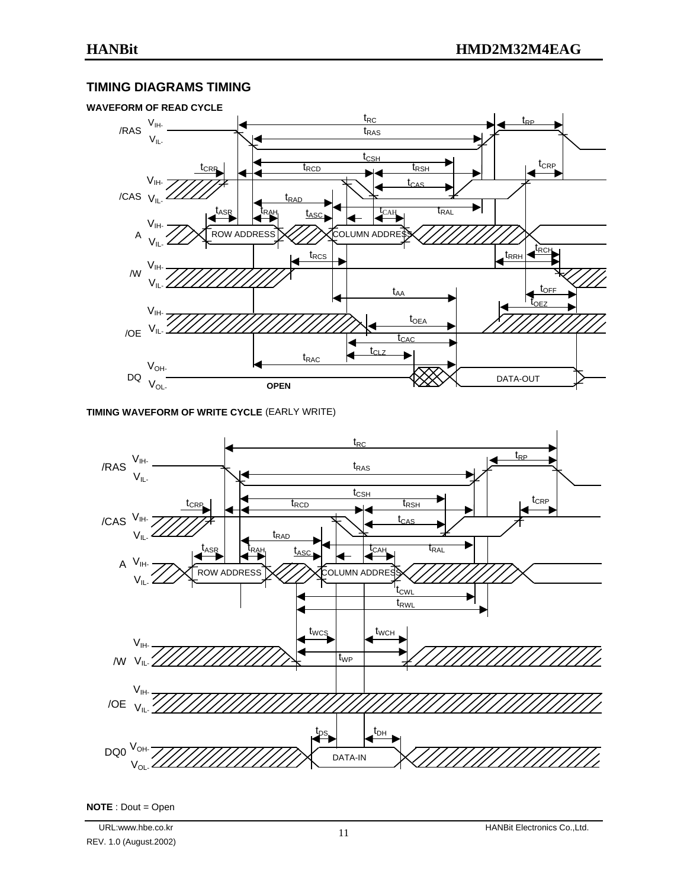### **TIMING DIAGRAMS TIMING**



#### **TIMING WAVEFORM OF WRITE CYCLE** (EARLY WRITE)



**NOTE** : Dout = Open